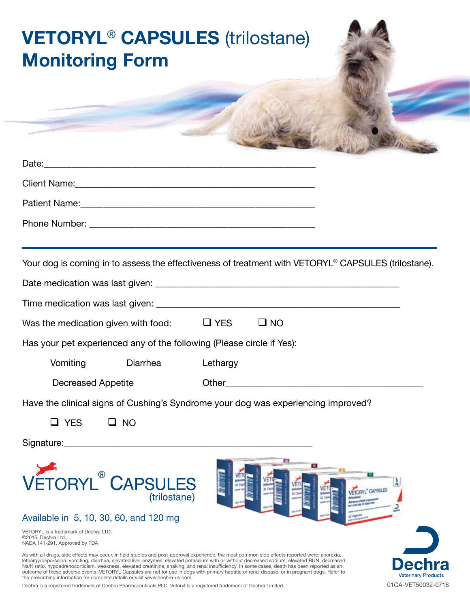## **VETORYL**® **CAPSULES** (trilostane) **Monitoring Form** Date:\_\_\_\_\_\_\_\_\_\_\_\_\_\_\_\_\_\_\_\_\_\_\_\_\_\_\_\_\_\_\_\_\_\_\_\_\_\_\_\_\_\_\_\_\_\_\_\_\_\_\_\_\_\_\_\_\_\_\_ Client Name:\_\_\_\_\_\_\_\_\_\_\_\_\_\_\_\_\_\_\_\_\_\_\_\_\_\_\_\_\_\_\_\_\_\_\_\_\_\_\_\_\_\_\_\_\_\_\_\_\_\_\_\_ Patient Name:\_\_\_\_\_\_\_\_\_\_\_\_\_\_\_\_\_\_\_\_\_\_\_\_\_\_\_\_\_\_\_\_\_\_\_\_\_\_\_\_\_\_\_\_\_\_\_\_\_\_\_ Phone Number: \_\_\_\_\_\_\_\_\_\_\_\_\_\_\_\_\_\_\_\_\_\_\_\_\_\_\_\_\_\_\_\_\_\_\_\_\_\_\_\_\_\_\_\_\_\_\_\_\_ Your dog is coming in to assess the effectiveness of treatment with VETORYL® CAPSULES (trilostane). Date medication was last given: \_\_\_\_\_\_\_\_\_\_\_\_\_\_\_\_\_\_\_\_\_\_\_\_\_\_\_\_\_\_\_\_\_\_\_\_\_\_\_\_\_\_\_\_\_\_\_\_\_\_\_\_\_ Time medication was last given: \_\_\_\_\_\_\_\_\_\_\_\_\_\_\_\_\_\_\_\_\_\_\_\_\_\_\_\_\_\_\_\_\_\_\_\_\_\_\_\_\_\_\_\_\_\_\_\_\_\_\_\_\_ Was the medication given with food:  $\Box$  YES  $\Box$  NO Has your pet experienced any of the following (Please circle if Yes): Vomiting Diarrhea Lethargy Decreased Appetite **Other Other COLOGY Other COLOGY OUTHER** Have the clinical signs of Cushing's Syndrome your dog was experiencing improved?  $\Box$  YES  $\Box$  NO Signature:\_\_\_\_\_\_\_\_\_\_\_\_\_\_\_\_\_\_\_\_\_\_\_\_\_\_\_\_\_\_\_\_\_\_\_\_\_\_\_\_\_\_\_\_\_\_\_\_\_\_\_\_\_\_ VETORYL<sup>®</sup> CAPSULES VETORYL<sup>®</sup> CAPSULES (trilostane) Available in 5, 10, 30, 60, and 120 mg VETORYL is a trademark of Dechra LTD. ©2015, Dechra Ltd. NADA 141-291, Approved by FDA As with all drugs, side effects may occur. In field studies and post-approval experience, the most common side effects reported were: anorexia, lethargy/depression, vomiting, diarrhea, elevated liver enzymes, elevated potassium with or without decreased sodium, elevated BUN, decreased<br>Na/K ratio, hypoadrenocorticism, weakness, elevated creatinine, shaking, and ren outcome of these adverse events. VETORYL Capsules are not for use in dogs with primary hepatic or renal disease, or in pregnant dogs. Refer to the prescribing information for complete details or visit www.dechra-us.com.

Dechra is a registered trademark of Dechra Pharmaceuticals PLC. Vetoryl is a registered trademark of Dechra Limited. 01CA-VET50032-0718